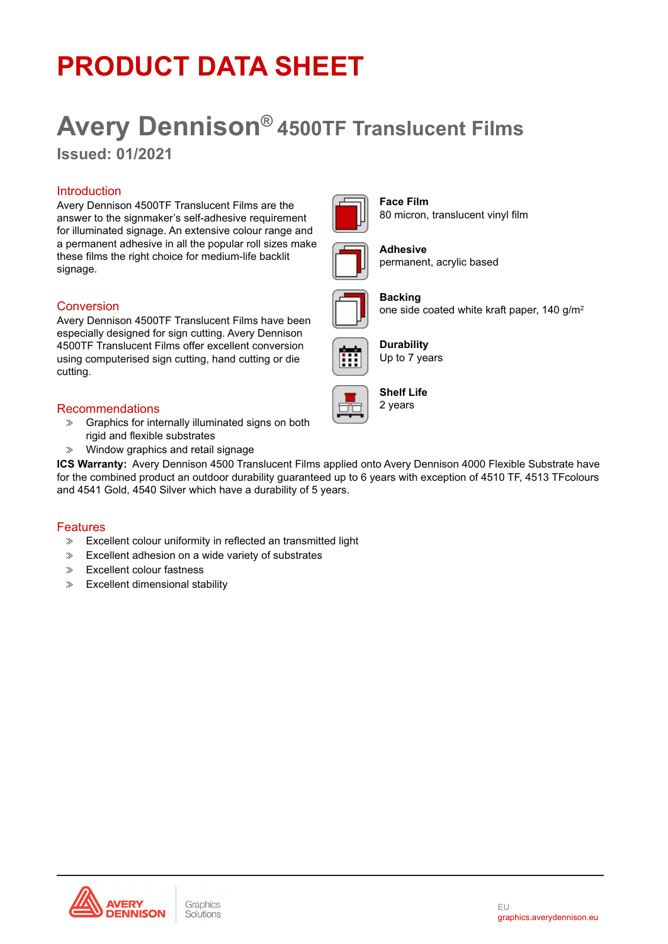## **PRODUCT DATA SHEET**

# **Avery Dennison® 4500TF Translucent Films**

**Issued: 01/2021**

### **Introduction**

Avery Dennison 4500TF Translucent Films are the answer to the signmaker's self-adhesive requirement for illuminated signage. An extensive colour range and a permanent adhesive in all the popular roll sizes make these films the right choice for medium-life backlit signage.

### Conversion

Avery Dennison 4500TF Translucent Films have been especially designed for sign cutting. Avery Dennison 4500TF Translucent Films offer excellent conversion using computerised sign cutting, hand cutting or die cutting.

#### Recommendations

- ≫ Graphics for internally illuminated signs on both rigid and flexible substrates
- ≫ Window graphics and retail signage

**ICS Warranty:** Avery Dennison 4500 Translucent Films applied onto Avery Dennison 4000 Flexible Substrate have for the combined product an outdoor durability guaranteed up to 6 years with exception of 4510 TF, 4513 TFcolours and 4541 Gold, 4540 Silver which have a durability of 5 years.

#### Features

- ≫ Excellent colour uniformity in reflected an transmitted light
- ≫ Excellent adhesion on a wide variety of substrates
- ≫ Excellent colour fastness
- ≫ Excellent dimensional stability





**Face Film** 80 micron, translucent vinyl film



**Adhesive** permanent, acrylic based



**Backing** one side coated white kraft paper, 140 g/m2



**Durability** Up to 7 years



**Shelf Life** 2 years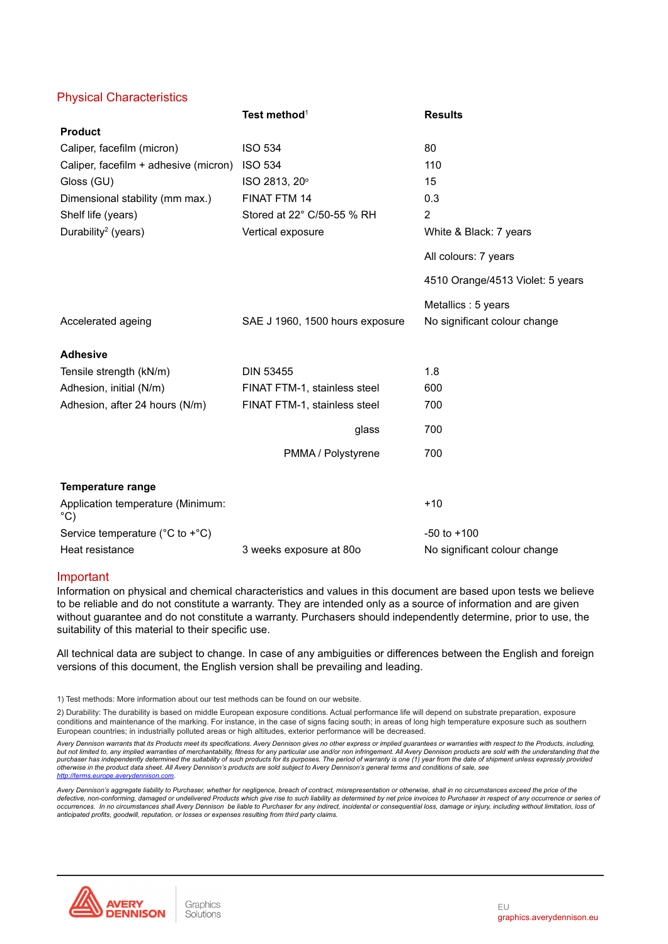#### Physical Characteristics

|                                                       | Test method <sup>1</sup>        | <b>Results</b>                   |
|-------------------------------------------------------|---------------------------------|----------------------------------|
| <b>Product</b>                                        |                                 |                                  |
| Caliper, facefilm (micron)                            | <b>ISO 534</b>                  | 80                               |
| Caliper, facefilm + adhesive (micron)                 | <b>ISO 534</b>                  | 110                              |
| Gloss (GU)                                            | ISO 2813, 20°                   | 15                               |
| Dimensional stability (mm max.)                       | FINAT FTM 14                    | 0.3                              |
| Shelf life (years)                                    | Stored at 22° C/50-55 % RH      | 2                                |
| Durability <sup>2</sup> (years)                       | Vertical exposure               | White & Black: 7 years           |
|                                                       |                                 | All colours: 7 years             |
|                                                       |                                 | 4510 Orange/4513 Violet: 5 years |
|                                                       |                                 | Metallics : 5 years              |
| Accelerated ageing                                    | SAE J 1960, 1500 hours exposure | No significant colour change     |
| <b>Adhesive</b>                                       |                                 |                                  |
| Tensile strength (kN/m)                               | <b>DIN 53455</b>                | 1.8                              |
| Adhesion, initial (N/m)                               | FINAT FTM-1, stainless steel    | 600                              |
| Adhesion, after 24 hours (N/m)                        | FINAT FTM-1, stainless steel    | 700                              |
|                                                       | glass                           | 700                              |
|                                                       | PMMA / Polystyrene              | 700                              |
| <b>Temperature range</b>                              |                                 |                                  |
| Application temperature (Minimum:<br>°C)              |                                 | $+10$                            |
| Service temperature ( $^{\circ}$ C to + $^{\circ}$ C) |                                 | $-50$ to $+100$                  |
| Heat resistance                                       | 3 weeks exposure at 80o         | No significant colour change     |

#### Important

Information on physical and chemical characteristics and values in this document are based upon tests we believe to be reliable and do not constitute a warranty. They are intended only as a source of information and are given without guarantee and do not constitute a warranty. Purchasers should independently determine, prior to use, the suitability of this material to their specific use.

All technical data are subject to change. In case of any ambiguities or differences between the English and foreign versions of this document, the English version shall be prevailing and leading.

1) Test methods: More information about our test methods can be found on our website.

2) Durability: The durability is based on middle European exposure conditions. Actual performance life will depend on substrate preparation, exposure conditions and maintenance of the marking. For instance, in the case of signs facing south; in areas of long high temperature exposure such as southern European countries; in industrially polluted areas or high altitudes, exterior performance will be decreased.

Avery Dennison warrants that its Products meet its specifications. Avery Dennison gives no other express or implied guarantees or warranties with respect to the Products, including, but not limited to, any implied warranties of merchantability, fitness for any particular use and/or non infringement. All Avery Dennison products are sold with the understanding that the purchaser has independently determined the suitability of such products for its purposes. The period of warranty is one (1) year from the date of shipment unless expressly providec<br>otherwise in the product data sheet. All *[http://terms.europe.averydennison.com.](http://terms.europe.averydennison.com)*

Avery Dennison's aggregate liability to Purchaser, whether for negligence, breach of contract, misrepresentation or otherwise, shall in no circumstances exceed the price of the defective, non-conforming, damaged or undelivered Products which give rise to such liability as determined by net price invoices to Purchaser in respect of any occurrence or series or<br>occurrences. In no circumstances shall *anticipated profits, goodwill, reputation, or losses or expenses resulting from third party claims.*